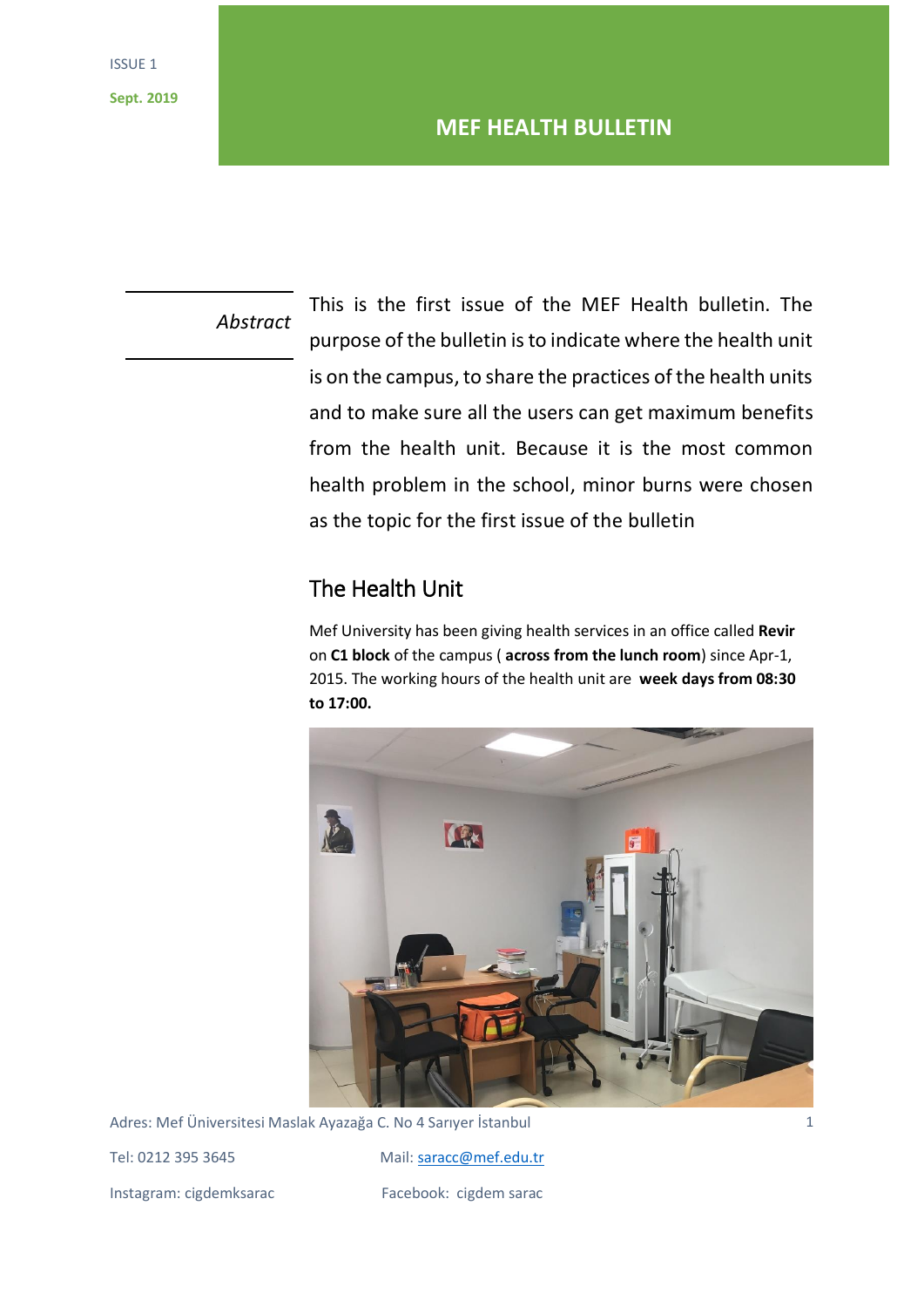*Abstract*

This is the first issue of the MEF Health bulletin. The purpose of the bulletin is to indicate where the health unit is on the campus, to share the practices of the health units and to make sure all the users can get maximum benefits from the health unit. Because it is the most common health problem in the school, minor burns were chosen as the topic for the first issue of the bulletin

# The Health Unit

Mef University has been giving health services in an office called **Revir** on **C1 block** of the campus ( **across from the lunch room**) since Apr-1, 2015. The working hours of the health unit are **week days from 08:30 to 17:00.** 



Adres: Mef Üniversitesi Maslak Ayazağa C. No 4 Sarıyer İstanbul

Instagram: cigdemksarac Facebook: cigdem sarac

Tel: 0212 395 3645 Mail: [saracc@mef.edu.tr](mailto:saracc@mef.edu.tr)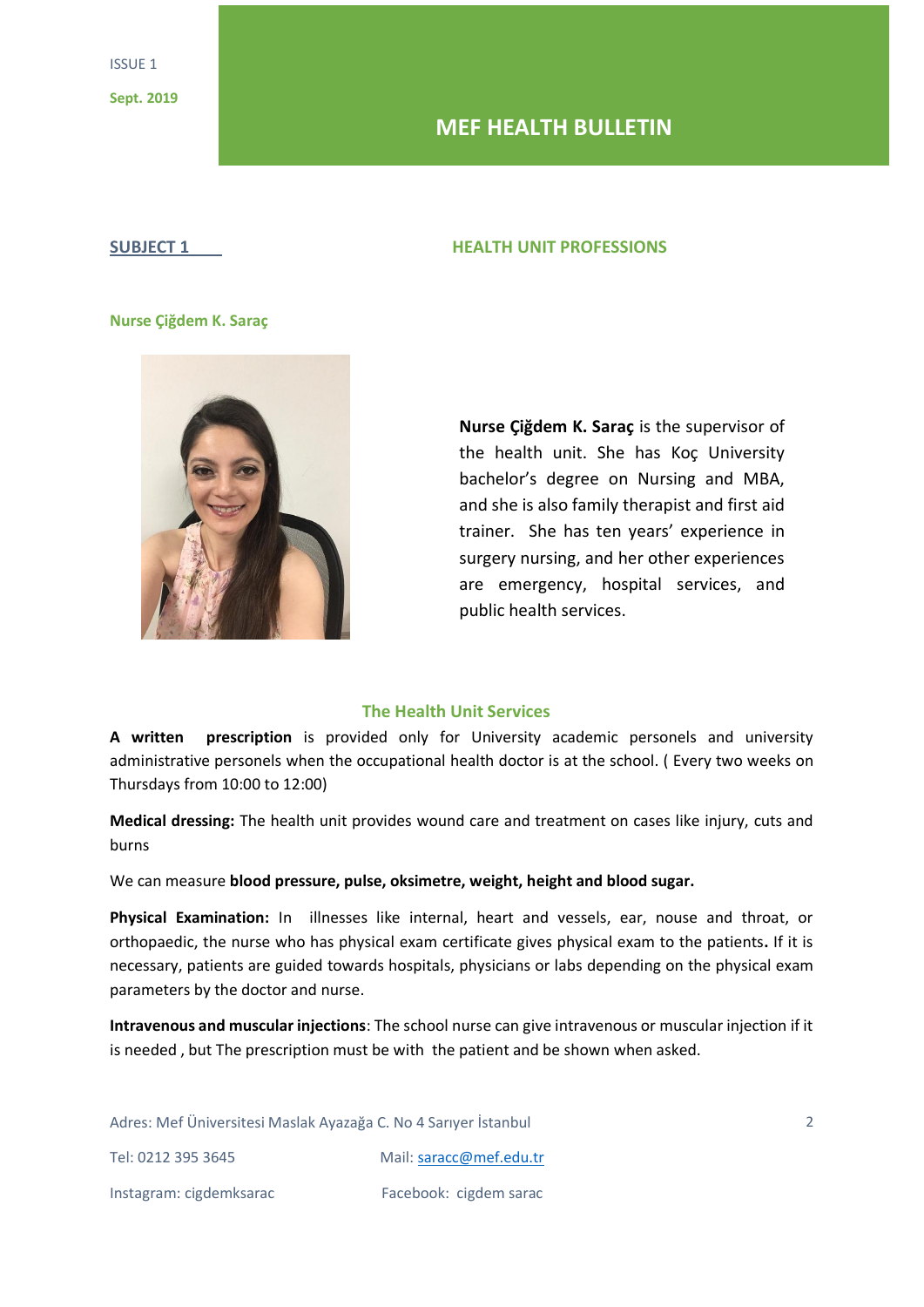## **MEF HEALTH BULLETIN**

#### **SUBJECT 1 HEALTH UNIT PROFESSIONS**

#### **Nurse Çiğdem K. Saraç**



**Nurse Çiğdem K. Saraç** is the supervisor of the health unit. She has Koç University bachelor's degree on Nursing and MBA, and she is also family therapist and first aid trainer. She has ten years' experience in surgery nursing, and her other experiences are emergency, hospital services, and public health services.

## **The Health Unit Services**

**A written prescription** is provided only for University academic personels and university administrative personels when the occupational health doctor is at the school. ( Every two weeks on Thursdays from 10:00 to 12:00)

**Medical dressing:** The health unit provides wound care and treatment on cases like injury, cuts and burns

We can measure **blood pressure, pulse, oksimetre, weight, height and blood sugar.** 

**Physical Examination:** In illnesses like internal, heart and vessels, ear, nouse and throat, or orthopaedic, the nurse who has physical exam certificate gives physical exam to the patients**.** If it is necessary, patients are guided towards hospitals, physicians or labs depending on the physical exam parameters by the doctor and nurse.

**Intravenous and muscular injections**: The school nurse can give intravenous or muscular injection if it is needed , but The prescription must be with the patient and be shown when asked.

Adres: Mef Üniversitesi Maslak Ayazağa C. No 4 Sarıyer İstanbul

Instagram: cigdemksarac Facebook: cigdem sarac

Tel: 0212 395 3645 Mail: [saracc@mef.edu.tr](mailto:saracc@mef.edu.tr)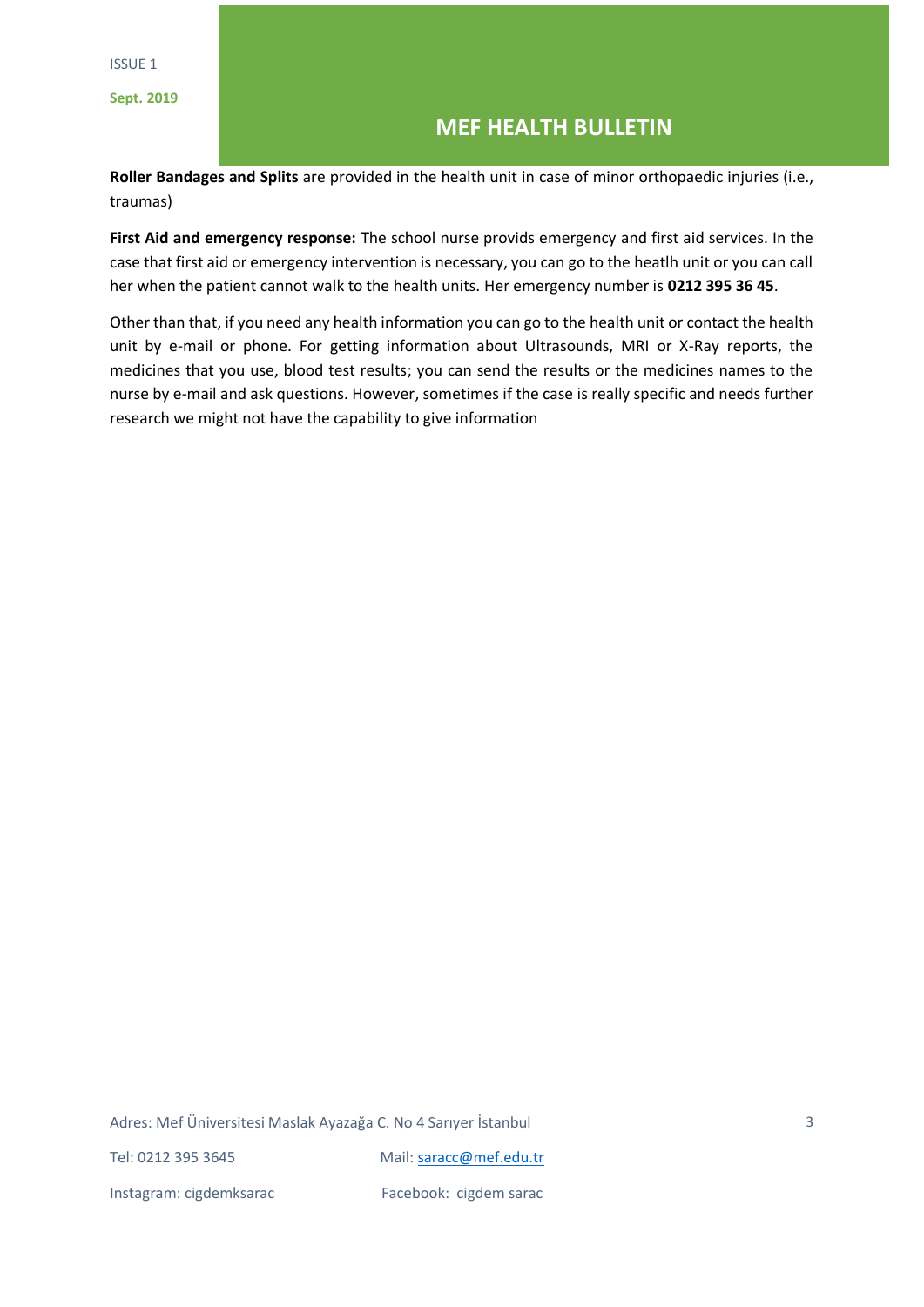## **MEF HEALTH BULLETIN**

**Roller Bandages and Splits** are provided in the health unit in case of minor orthopaedic injuries (i.e., traumas)

**First Aid and emergency response:** The school nurse provids emergency and first aid services. In the case that first aid or emergency intervention is necessary, you can go to the heatlh unit or you can call her when the patient cannot walk to the health units. Her emergency number is **0212 395 36 45**.

Other than that, if you need any health information you can go to the health unit or contact the health unit by e-mail or phone. For getting information about Ultrasounds, MRI or X-Ray reports, the medicines that you use, blood test results; you can send the results or the medicines names to the nurse by e-mail and ask questions. However, sometimes if the case is really specific and needs further research we might not have the capability to give information

Adres: Mef Üniversitesi Maslak Ayazağa C. No 4 Sarıyer İstanbul Tel: 0212 395 3645 Mail: [saracc@mef.edu.tr](mailto:saracc@mef.edu.tr) Instagram: cigdemksarac Facebook: cigdem sarac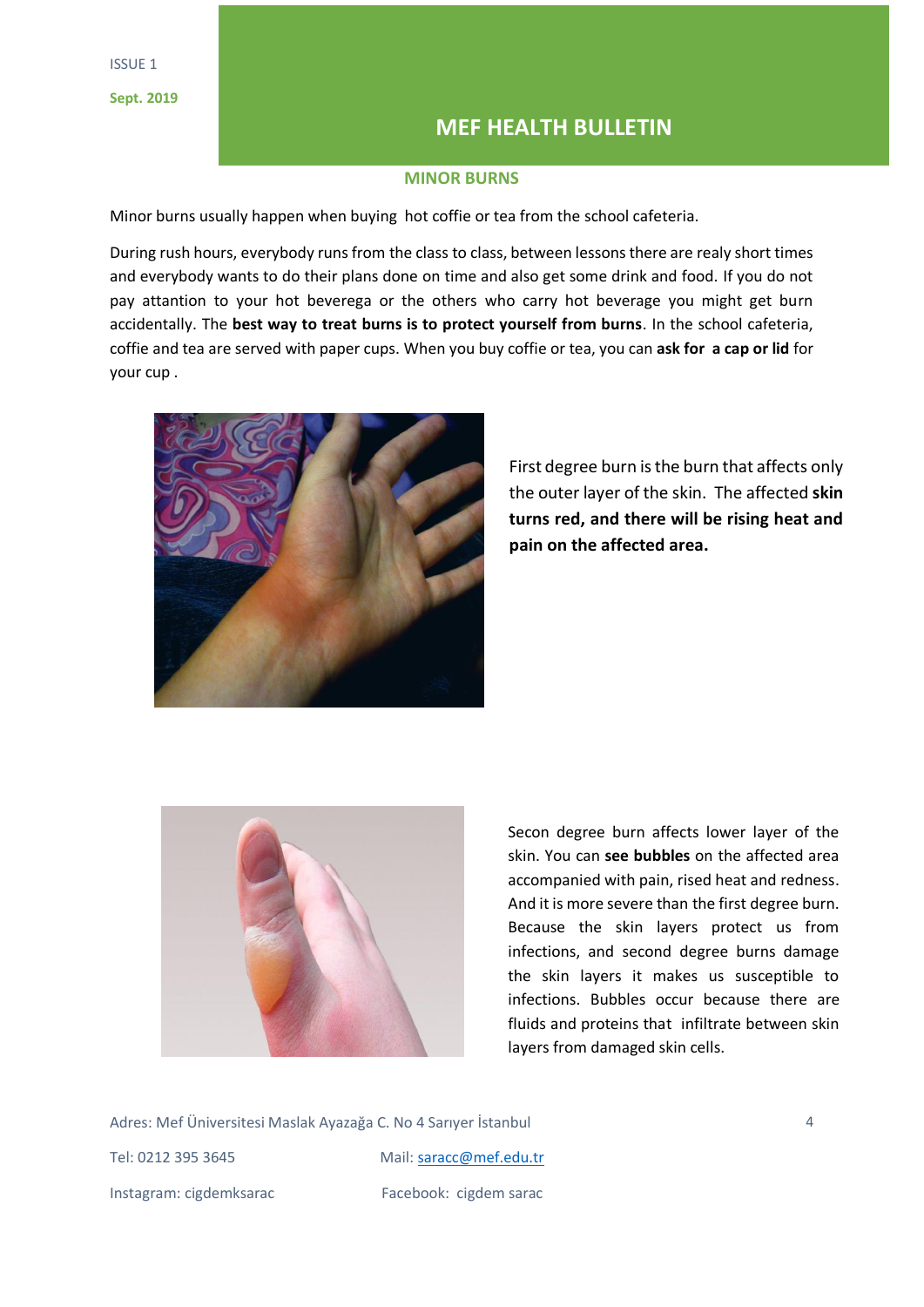## **MEF HEALTH BULLETIN**

## **MINOR BURNS**

Minor burns usually happen when buying hot coffie or tea from the school cafeteria.

During rush hours, everybody runs from the class to class, between lessons there are realy short times and everybody wants to do their plans done on time and also get some drink and food. If you do not pay attantion to your hot beverega or the others who carry hot beverage you might get burn accidentally. The **best way to treat burns is to protect yourself from burns**. In the school cafeteria, coffie and tea are served with paper cups. When you buy coffie or tea, you can **ask for a cap or lid** for your cup .



First degree burn is the burn that affects only the outer layer of the skin. The affected **skin turns red, and there will be rising heat and pain on the affected area.** 



Secon degree burn affects lower layer of the skin. You can **see bubbles** on the affected area accompanied with pain, rised heat and redness. And it is more severe than the first degree burn. Because the skin layers protect us from infections, and second degree burns damage the skin layers it makes us susceptible to infections. Bubbles occur because there are fluids and proteins that infiltrate between skin layers from damaged skin cells.

Adres: Mef Üniversitesi Maslak Ayazağa C. No 4 Sarıyer İstanbul Tel: 0212 395 3645 Mail: [saracc@mef.edu.tr](mailto:saracc@mef.edu.tr) Instagram: cigdemksarac Facebook: cigdem sarac